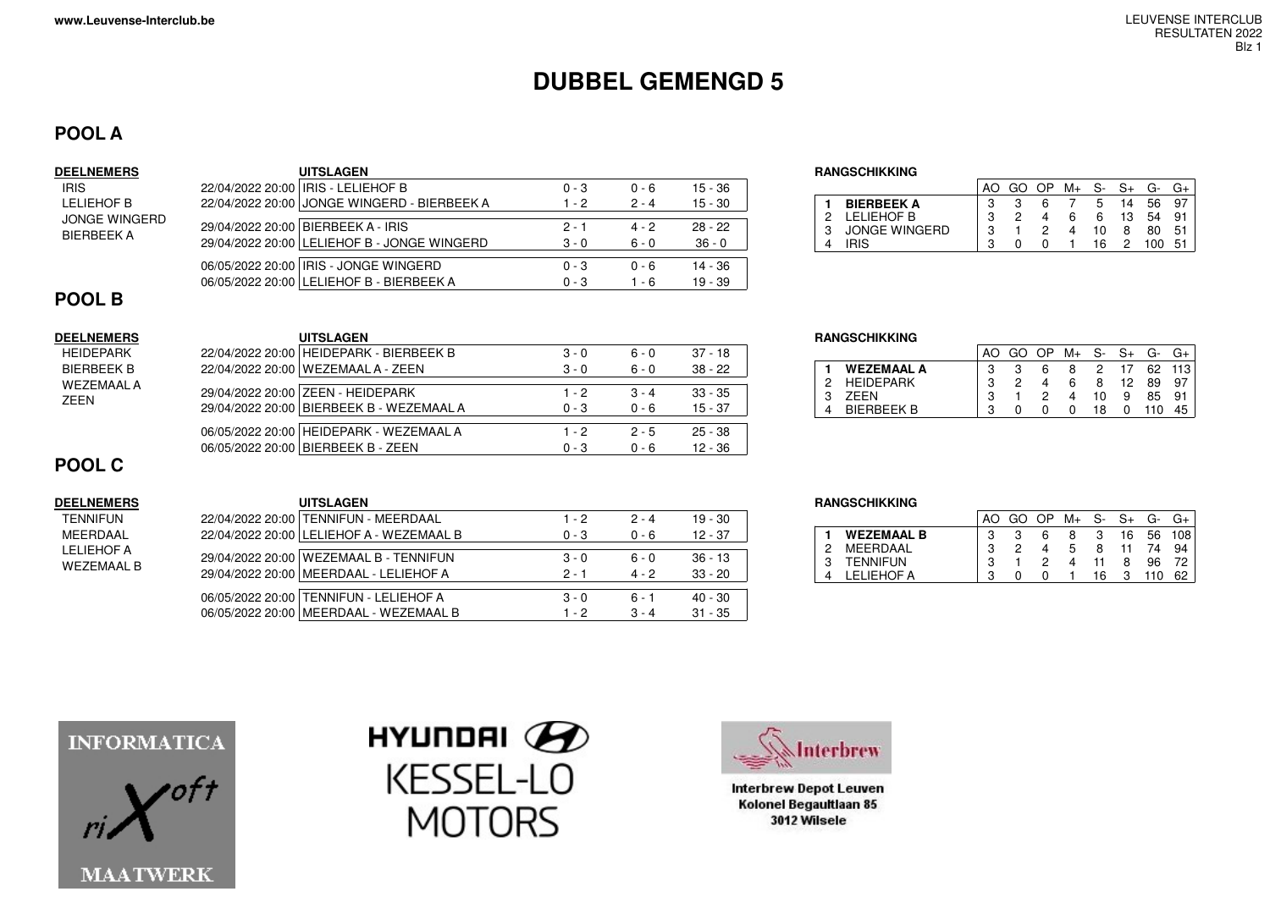# **DUBBEL GEMENGD 5**

## **POOL A**

IRIS

#### **DEELNEMERS UITSLAGEN RANGSCHIKKING** LELIEHOF B JONGE WINGERDBIERBEEK A22/04/2022 20:00 IRIS - LELIEHOF B 0 - 3 0 - 6 15 - 36  $15 - 30$ 22/04/2022 20:00 JONGE WINGERD - BIERBEEK A 1 - 2 2 - 4 29/04/2022 20:00 BIERBEEK A - IRIS 2 - 1 4 - 2 28 - 22  $36 - 0$ 29/04/2022 20:00 LELIEHOF B - JONGE WINGERD 3 - 0 6 - 0 06/05/2022 20:00 IRIS - JONGE WINGERD 0 - 3 0 - 6 14 - 36  $19 - 39$ 06/05/2022 20:00 LELIEHOF B - BIERBEEK A 0 - 3 1 - 6

|   |                   |   | OP. | M+ | S- | $S+$ | G-  |     |
|---|-------------------|---|-----|----|----|------|-----|-----|
|   | <b>BIERBEEK A</b> |   |     |    | 5  | 14   | 56  | 97  |
| 2 | LELIEHOF B        | ິ |     | 6  | 6  | 13   | 54  | 91  |
| 3 | JONGE WINGERD     | ີ |     |    | 10 | 8    | 80  | 51  |
|   | IRIS              | ິ |     |    | 16 |      | 100 | -51 |

## **POOL B**

## **DEELNEMERS UITSLAGEN**HEIDEPARK

 BIERBEEK B WEZEMAAL AZEEN

|  | 22/04/2022 20:00 HEIDEPARK - BIERBEEK B  | $3 - 0$ | . ი     | $37 - 18$ |
|--|------------------------------------------|---------|---------|-----------|
|  | 22/04/2022 20:00   WEZEMAAL A - ZEEN     | $3 - 0$ | $6 - 0$ | $38 - 22$ |
|  |                                          |         |         |           |
|  | 29/04/2022 20:00 ZEEN - HEIDEPARK        | $1 - 2$ | $3 - 4$ | $33 - 35$ |
|  | 29/04/2022 20:00 BIERBEEK B - WEZEMAAL A | $0 - 3$ | $0 - 6$ | $15 - 37$ |
|  |                                          |         |         |           |
|  | 06/05/2022 20:00 HEIDEPARK - WEZEMAAL A  | $1 - 2$ | $2 - 5$ | $25 - 38$ |
|  | 06/05/2022 20:00   BIERBEEK B - ZEEN     | $0 - 3$ | ი - 6   | $12 - 36$ |
|  |                                          |         |         |           |

#### **RANGSCHIKKING**

|   |                   |   | OP. | M+ | -S- | S+ | G-  |        |
|---|-------------------|---|-----|----|-----|----|-----|--------|
|   | <b>WEZEMAAL A</b> |   | 6   | 8  | 2   | 17 |     | 62 113 |
| 2 | <b>HEIDEPARK</b>  | ົ |     | 6  | 8   | 12 | 89  | 97     |
| R | <b>7FFN</b>       |   |     | 4  | 10  | 9  | 85  | 91     |
|   | <b>IFRRFFK R</b>  |   |     |    | 18  |    | 110 | 45     |

## **POOL C**

## $DEELNEMERS$

| TFNNIFI IN |
|------------|
| MFFRDAAL   |
| LELIEHOF A |
| WEZEMAAL B |
|            |

| <b>UITSLAGEN</b>                           |         |         |           | <b>RANGSCHIKKING</b>        |
|--------------------------------------------|---------|---------|-----------|-----------------------------|
| 22/04/2022 20:00   TENNIFUN - MEERDAAL     | 1 - 2   | $2 - 4$ | $19 - 30$ |                             |
| 22/04/2022 20:00   LELIEHOF A - WEZEMAAL B | $0 - 3$ | $0 - 6$ | $12 - 37$ | <b>WEZEMAAL</b><br>MFFRDAAI |
| 29/04/2022 20:00 WEZEMAAL B - TENNIFUN     | $3 - 0$ | 6 - 0   | $36 - 13$ | <b>TENNIFUN</b>             |
| 29/04/2022 20:00 MEERDAAL - LELIEHOF A     | $2 - 1$ | $4 - 2$ | $33 - 20$ | <b>LELIEHOF A</b>           |
| 06/05/2022 20:00 TENNIFUN - LELIEHOF A     | $3 - 0$ | ჩ - 1   | $40 - 30$ |                             |
| 06/05/2022 20:00   MEERDAAL - WEZEMAAL B   | $-2$    | $3 - 4$ | $31 - 35$ |                             |

|   |                   |   |   | OP | M+ | S- | S+ | G- |                  |
|---|-------------------|---|---|----|----|----|----|----|------------------|
|   | <b>WEZEMAAL B</b> |   |   | 6  | 8  | З  | 16 | 56 | 108 <sub>1</sub> |
| 2 | MEERDAAL          | ິ | 2 |    | 5  | 8  |    |    | 94               |
| R | <b>TENNIFUN</b>   | ິ |   |    |    |    | 8  | 96 |                  |
|   | FI IFHOF A        | ົ |   |    |    | 16 |    |    |                  |







**Interbrew Depot Leuven** Kolonel Begaultlaan 85 3012 Wilsele